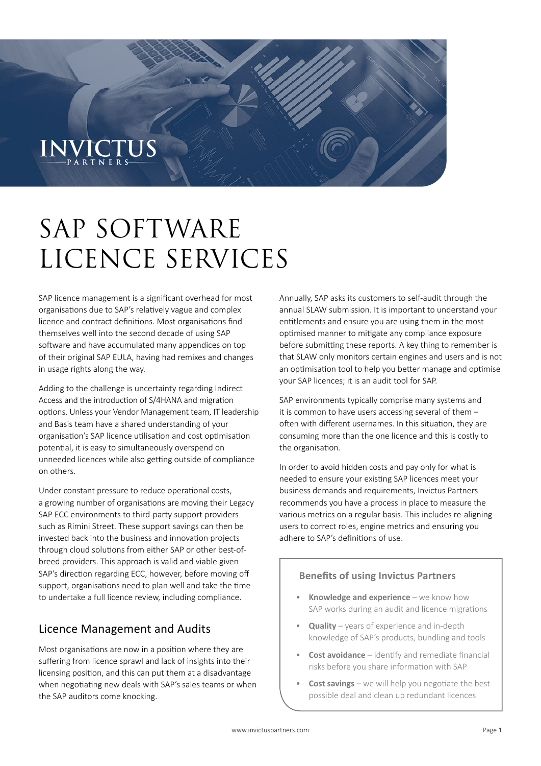# $INMCTS$

## SAP SOFTWARE LICENCE SERVICES

SAP licence management is a significant overhead for most organisations due to SAP's relatively vague and complex licence and contract definitions. Most organisations find themselves well into the second decade of using SAP software and have accumulated many appendices on top of their original SAP EULA, having had remixes and changes in usage rights along the way.

Adding to the challenge is uncertainty regarding Indirect Access and the introduction of S/4HANA and migration options. Unless your Vendor Management team, IT leadership and Basis team have a shared understanding of your organisation's SAP licence utilisation and cost optimisation potential, it is easy to simultaneously overspend on unneeded licences while also getting outside of compliance on others.

Under constant pressure to reduce operational costs, a growing number of organisations are moving their Legacy SAP ECC environments to third-party support providers such as Rimini Street. These support savings can then be invested back into the business and innovation projects through cloud solutions from either SAP or other best-ofbreed providers. This approach is valid and viable given SAP's direction regarding ECC, however, before moving off support, organisations need to plan well and take the time to undertake a full licence review, including compliance.

### Licence Management and Audits

Most organisations are now in a position where they are suffering from licence sprawl and lack of insights into their licensing position, and this can put them at a disadvantage when negotiating new deals with SAP's sales teams or when the SAP auditors come knocking.

Annually, SAP asks its customers to self-audit through the annual SLAW submission. It is important to understand your entitlements and ensure you are using them in the most optimised manner to mitigate any compliance exposure before submitting these reports. A key thing to remember is that SLAW only monitors certain engines and users and is not an optimisation tool to help you better manage and optimise your SAP licences; it is an audit tool for SAP.

SAP environments typically comprise many systems and it is common to have users accessing several of them – often with different usernames. In this situation, they are consuming more than the one licence and this is costly to the organisation.

In order to avoid hidden costs and pay only for what is needed to ensure your existing SAP licences meet your business demands and requirements, Invictus Partners recommends you have a process in place to measure the various metrics on a regular basis. This includes re-aligning users to correct roles, engine metrics and ensuring you adhere to SAP's definitions of use.

#### **Benefits of using Invictus Partners**

- **Knowledge and experience** we know how SAP works during an audit and licence migrations
- **Quality** years of experience and in-depth knowledge of SAP's products, bundling and tools
- **Cost avoidance** identify and remediate financial risks before you share information with SAP
- **Cost savings** we will help you negotiate the best possible deal and clean up redundant licences